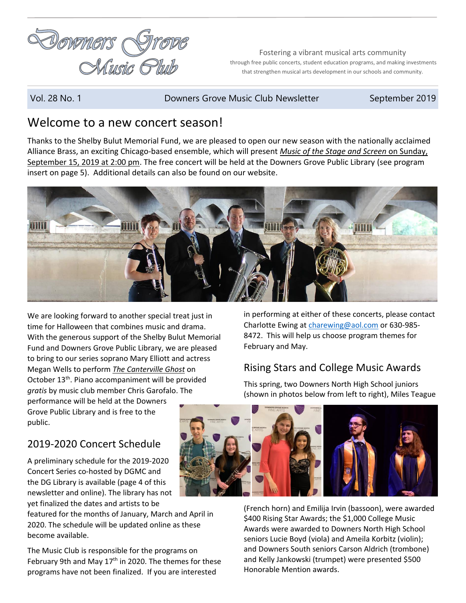

Fostering a vibrant musical arts community through free public concerts, student education programs, and making investments that strengthen musical arts development in our schools and community.

Vol. 28 No. 1 **Downers Grove Music Club Newsletter** September 2019

## Welcome to a new concert season!

Thanks to the Shelby Bulut Memorial Fund, we are pleased to open our new season with the nationally acclaimed Alliance Brass, an exciting Chicago-based ensemble, which will present *Music of the Stage and Screen* on Sunday, September 15, 2019 at 2:00 pm. The free concert will be held at the Downers Grove Public Library (see program insert on page 5). Additional details can also be found on our website.



We are looking forward to another special treat just in time for Halloween that combines music and drama. With the generous support of the Shelby Bulut Memorial Fund and Downers Grove Public Library, we are pleased to bring to our series soprano Mary Elliott and actress Megan Wells to perform *The Canterville Ghost* on October 13<sup>th</sup>. Piano accompaniment will be provided *gratis* by music club member Chris Garofalo. The performance will be held at the Downers Grove Public Library and is free to the public.

# 2019-2020 Concert Schedule

A preliminary schedule for the 2019-2020 Concert Series co-hosted by DGMC and the DG Library is available (page 4 of this newsletter and online). The library has not yet finalized the dates and artists to be

featured for the months of January, March and April in 2020. The schedule will be updated online as these become available.

The Music Club is responsible for the programs on February 9th and May  $17<sup>th</sup>$  in 2020. The themes for these programs have not been finalized. If you are interested

in performing at either of these concerts, please contact Charlotte Ewing a[t charewing@aol.com](mailto:charewing@aol.com) or 630-985-8472. This will help us choose program themes for February and May.

# Rising Stars and College Music Awards

This spring, two Downers North High School juniors (shown in photos below from left to right), Miles Teague



(French horn) and Emilija Irvin (bassoon), were awarded \$400 Rising Star Awards; the \$1,000 College Music Awards were awarded to Downers North High School seniors Lucie Boyd (viola) and Ameila Korbitz (violin); and Downers South seniors Carson Aldrich (trombone) and Kelly Jankowski (trumpet) were presented \$500 Honorable Mention awards.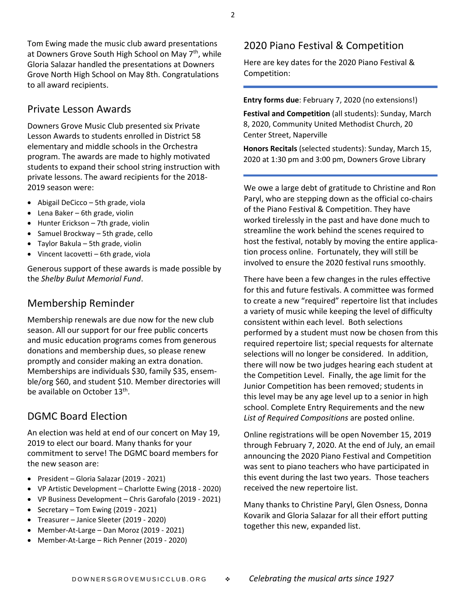Tom Ewing made the music club award presentations at Downers Grove South High School on May 7<sup>th</sup>, while Gloria Salazar handled the presentations at Downers Grove North High School on May 8th. Congratulations to all award recipients.

### Private Lesson Awards

Downers Grove Music Club presented six Private Lesson Awards to students enrolled in District 58 elementary and middle schools in the Orchestra program. The awards are made to highly motivated students to expand their school string instruction with private lessons. The award recipients for the 2018- 2019 season were:

- Abigail DeCicco 5th grade, viola
- Lena Baker 6th grade, violin
- Hunter Erickson 7th grade, violin
- Samuel Brockway 5th grade, cello
- Taylor Bakula 5th grade, violin
- Vincent Iacovetti 6th grade, viola

Generous support of these awards is made possible by the *Shelby Bulut Memorial Fund*.

### Membership Reminder

Membership renewals are due now for the new club season. All our support for our free public concerts and music education programs comes from generous donations and membership dues, so please renew promptly and consider making an extra donation. Memberships are individuals \$30, family \$35, ensemble/org \$60, and student \$10. Member directories will be available on October 13<sup>th</sup>.

### DGMC Board Election

An election was held at end of our concert on May 19, 2019 to elect our board. Many thanks for your commitment to serve! The DGMC board members for the new season are:

- President Gloria Salazar (2019 2021)
- VP Artistic Development Charlotte Ewing (2018 2020)
- VP Business Development Chris Garofalo (2019 2021)
- Secretary Tom Ewing (2019 2021)
- Treasurer Janice Sleeter (2019 2020)
- Member-At-Large Dan Moroz (2019 2021)
- Member-At-Large Rich Penner (2019 2020)

### 2020 Piano Festival & Competition

Here are key dates for the 2020 Piano Festival & Competition:

**Entry forms due**: February 7, 2020 (no extensions!)

**Festival and Competition** (all students): Sunday, March 8, 2020, Community United Methodist Church, 20 Center Street, Naperville

**Honors Recitals** (selected students): Sunday, March 15, 2020 at 1:30 pm and 3:00 pm, Downers Grove Library

We owe a large debt of gratitude to Christine and Ron Paryl, who are stepping down as the official co-chairs of the Piano Festival & Competition. They have worked tirelessly in the past and have done much to streamline the work behind the scenes required to host the festival, notably by moving the entire application process online. Fortunately, they will still be involved to ensure the 2020 festival runs smoothly.

There have been a few changes in the rules effective for this and future festivals. A committee was formed to create a new "required" repertoire list that includes a variety of music while keeping the level of difficulty consistent within each level. Both selections performed by a student must now be chosen from this required repertoire list; special requests for alternate selections will no longer be considered. In addition, there will now be two judges hearing each student at the Competition Level. Finally, the age limit for the Junior Competition has been removed; students in this level may be any age level up to a senior in high school. Complete Entry Requirements and the new *List of Required Compositions* are posted online.

Online registrations will be open November 15, 2019 through February 7, 2020. At the end of July, an email announcing the 2020 Piano Festival and Competition was sent to piano teachers who have participated in this event during the last two years. Those teachers received the new repertoire list.

Many thanks to Christine Paryl, Glen Osness, Donna Kovarik and Gloria Salazar for all their effort putting together this new, expanded list.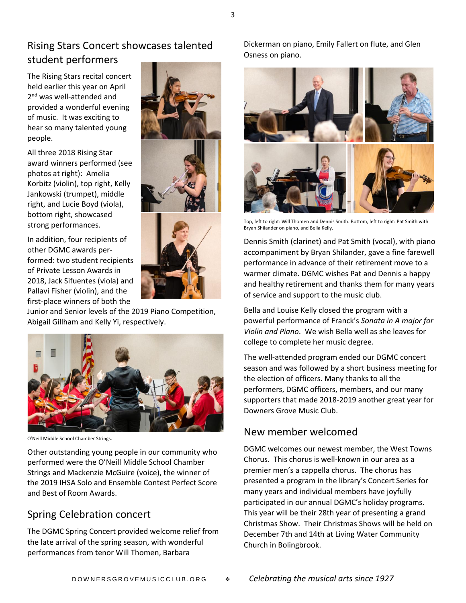### Rising Stars Concert showcases talented student performers

The Rising Stars recital concert held earlier this year on April 2<sup>nd</sup> was well-attended and provided a wonderful evening of music. It was exciting to hear so many talented young people.

All three 2018 Rising Star award winners performed (see photos at right): Amelia Korbitz (violin), top right, Kelly Jankowski (trumpet), middle right, and Lucie Boyd (viola), bottom right, showcased strong performances.

In addition, four recipients of other DGMC awards performed: two student recipients of Private Lesson Awards in 2018, Jack Sifuentes (viola) and Pallavi Fisher (violin), and the first-place winners of both the



Junior and Senior levels of the 2019 Piano Competition, Abigail Gillham and Kelly Yi, respectively.



O'Neill Middle School Chamber Strings.

Other outstanding young people in our community who performed were the O'Neill Middle School Chamber Strings and Mackenzie McGuire (voice), the winner of the 2019 IHSA Solo and Ensemble Contest Perfect Score and Best of Room Awards.

### Spring Celebration concert

The DGMC Spring Concert provided welcome relief from the late arrival of the spring season, with wonderful performances from tenor Will Thomen, Barbara



Top, left to right: Will Thomen and Dennis Smith. Bottom, left to right: Pat Smith with Bryan Shilander on piano, and Bella Kelly.

Dennis Smith (clarinet) and Pat Smith (vocal), with piano accompaniment by Bryan Shilander, gave a fine farewell performance in advance of their retirement move to a warmer climate. DGMC wishes Pat and Dennis a happy and healthy retirement and thanks them for many years of service and support to the music club.

Bella and Louise Kelly closed the program with a powerful performance of Franck's *Sonata in A major for Violin and Piano*. We wish Bella well as she leaves for college to complete her music degree.

The well-attended program ended our DGMC concert season and was followed by a short business meeting for the election of officers. Many thanks to all the performers, DGMC officers, members, and our many supporters that made 2018-2019 another great year for Downers Grove Music Club.

# New member welcomed

DGMC welcomes our newest member, the West Towns Chorus. This chorus is well-known in our area as a premier men's a cappella chorus. The chorus has presented a program in the library's Concert Series for many years and individual members have joyfully participated in our annual DGMC's holiday programs. This year will be their 28th year of presenting a grand Christmas Show. Their Christmas Shows will be held on December 7th and 14th at Living Water Community Church in Bolingbrook.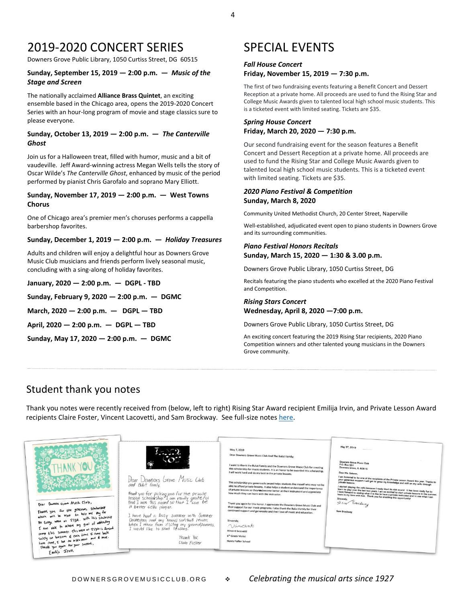# 2019-2020 CONCERT SERIES

Downers Grove Public Library, 1050 Curtiss Street, DG 60515

#### **Sunday, September 15, 2019 — 2:00 p.m. —** *Music of the Stage and Screen*

The nationally acclaimed **Alliance Brass Quintet**, an exciting ensemble based in the Chicago area, opens the 2019-2020 Concert Series with an hour-long program of movie and stage classics sure to please everyone.

#### **Sunday, October 13, 2019 — 2:00 p.m. —** *The Canterville Ghost*

Join us for a Halloween treat, filled with humor, music and a bit of vaudeville. Jeff Award-winning actress Megan Wells tells the story of Oscar Wilde's *The Canterville Ghost*, enhanced by music of the period performed by pianist Chris Garofalo and soprano Mary Elliott.

#### **Sunday, November 17, 2019 — 2:00 p.m. — West Towns Chorus**

One of Chicago area's premier men's choruses performs a cappella barbershop favorites.

#### **Sunday, December 1, 2019 — 2:00 p.m. —** *Holiday Treasures*

Adults and children will enjoy a delightful hour as Downers Grove Music Club musicians and friends perform lively seasonal music, concluding with a sing-along of holiday favorites.

**January, 2020 — 2:00 p.m. — DGPL - TBD**

**Sunday, February 9, 2020 — 2:00 p.m. — DGMC**

**March, 2020 — 2:00 p.m. — DGPL — TBD**

**April, 2020 — 2:00 p.m. — DGPL — TBD**

**Sunday, May 17, 2020 — 2:00 p.m. — DGMC**

# SPECIAL EVENTS

#### *Fall House Concert*  **Friday, November 15, 2019 — 7:30 p.m.**

The first of two fundraising events featuring a Benefit Concert and Dessert Reception at a private home. All proceeds are used to fund the Rising Star and College Music Awards given to talented local high school music students. This is a ticketed event with limited seating. Tickets are \$35.

#### *Spring House Concert*  **Friday, March 20, 2020 — 7:30 p.m.**

Our second fundraising event for the season features a Benefit Concert and Dessert Reception at a private home. All proceeds are used to fund the Rising Star and College Music Awards given to talented local high school music students. This is a ticketed event with limited seating. Tickets are \$35.

#### *2020 Piano Festival & Competition* **Sunday, March 8, 2020**

Community United Methodist Church, 20 Center Street, Naperville

Well-established, adjudicated event open to piano students in Downers Grove and its surrounding communities.

#### *Piano Festival Honors Recitals*  **Sunday, March 15, 2020 — 1:30 & 3.00 p.m.**

Downers Grove Public Library, 1050 Curtiss Street, DG

Recitals featuring the piano students who excelled at the 2020 Piano Festival and Competition.

#### *Rising Stars Concert*  **Wednesday, April 8, 2020 —7:00 p.m.**

Downers Grove Public Library, 1050 Curtiss Street, DG

An exciting concert featuring the 2019 Rising Star recipients, 2020 Piano Competition winners and other talented young musicians in the Downers Grove community.

### Student thank you notes

Thank you notes were recently received from (below, left to right) Rising Star Award recipient Emilija Irvin, and Private Lesson Award recipients Claire Foster, Vincent Lacovetti, and Sam Brockway. See full-size note[s here.](https://downersgrovemusicclub.org/images/thankyounotes.jpg)

| Dear Downers Grove Music Club,<br>Thank you for the generous scholarship<br>which will be used to help me pay for<br>Pre College WPAN at ISYM. With this scholarship                                                                          | Con<br>۵Ń<br>Dear Downeys Grove Music Club<br>and Bulut family,<br>themek you for picking me for the private<br>lesson scholarship. I am really grateful<br>that I won this award su that I can be<br>a better cello player.<br>I have had a busy summer with Summer<br>Drchestra and my travel softball team. | May 7, 2019<br>Dear Downers Grove Music Club And The Bulut Family:<br>I want to thank the Bulut Family and the Downers Grove Music Club for creating<br>this scholarship for music students. It is an honor to be awarded this scholarship.<br>I will work hard and do my best in the private lessons.<br>This scholarship you generously award helps students like myself who may not be<br>able to afford private lessons. It also helps a student understand the importance<br>of private lessons so they en become better at their instrument and appreciate<br>how much they can learn with the instructor.<br>Thank you again for this honor. I appreciate the Downers Grove Music Club and<br>their support for our music programs. I also thank the Bulut Family for their<br>continued support and generosity and their love of music and education.<br>Sincerely.<br>Vincent | May 5", 2019<br>Downers Grove Music Club<br>P.O. Box 551<br>Downers Grove, IL 60515<br>Dear Ms. Salazar,<br>I am honored to be one of the recipients of the Private Lesson Award this year. Thanks to<br>your generous support I will get to grow my knowledge and skill on my cello through<br>I started playing the cello because I really liked its rich sound. It has been really fun to<br>learn to play over the last two years. I am so excited to start private lessons in the summer.<br>I look forward to seeing what it is like to have a private instructor and to see what I can<br>learn in my time with him. Thank you for enabling this opportunity!<br>Sincerely,<br>Sam Brocknay<br>Sam Brockway |
|-----------------------------------------------------------------------------------------------------------------------------------------------------------------------------------------------------------------------------------------------|----------------------------------------------------------------------------------------------------------------------------------------------------------------------------------------------------------------------------------------------------------------------------------------------------------------|----------------------------------------------------------------------------------------------------------------------------------------------------------------------------------------------------------------------------------------------------------------------------------------------------------------------------------------------------------------------------------------------------------------------------------------------------------------------------------------------------------------------------------------------------------------------------------------------------------------------------------------------------------------------------------------------------------------------------------------------------------------------------------------------------------------------------------------------------------------------------------------|--------------------------------------------------------------------------------------------------------------------------------------------------------------------------------------------------------------------------------------------------------------------------------------------------------------------------------------------------------------------------------------------------------------------------------------------------------------------------------------------------------------------------------------------------------------------------------------------------------------------------------------------------------------------------------------------------------------------|
| I am able to achave my goal of attending<br>comp this summer this were at Isyan is foused<br>solely on bassoon of each fime I nome back<br>from comp, I led the instrument must do mere.<br>Thank you again for your snower,<br>Emilija Irvin | When I reium from Visiting my grandparents,<br>I would like to start lessons.<br>Thank Yw.<br>Clube Fuster                                                                                                                                                                                                     | Vincent lacovetti<br>6 <sup>th</sup> Grade Violist<br><b>Henry Puffer School</b>                                                                                                                                                                                                                                                                                                                                                                                                                                                                                                                                                                                                                                                                                                                                                                                                       |                                                                                                                                                                                                                                                                                                                                                                                                                                                                                                                                                                                                                                                                                                                    |

4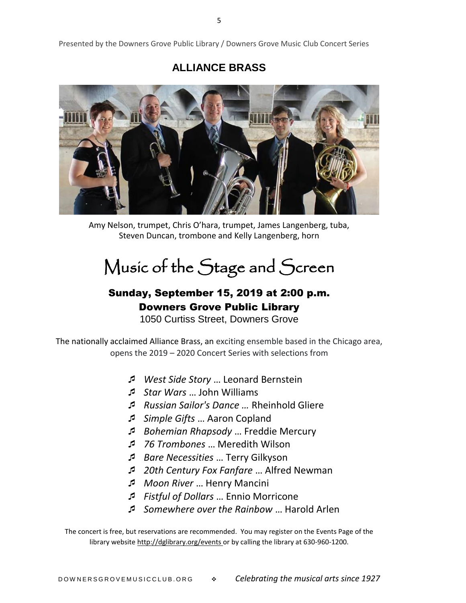Presented by the Downers Grove Public Library / Downers Grove Music Club Concert Series

### **ALLIANCE BRASS**



Amy Nelson, trumpet, Chris O'hara, trumpet, James Langenberg, tuba, Steven Duncan, trombone and Kelly Langenberg, horn

# Music of the Stage and Screen

# Sunday, September 15, 2019 at 2:00 p.m. Downers Grove Public Library

1050 Curtiss Street, Downers Grove

The nationally acclaimed Alliance Brass, an exciting ensemble based in the Chicago area, opens the 2019 – 2020 Concert Series with selections from

- *West Side Story* … Leonard Bernstein
- *Star Wars* … John Williams
- *Russian Sailor's Dance …* Rheinhold Gliere
- *Simple Gifts* … Aaron Copland
- *Bohemian Rhapsody* … Freddie Mercury
- *76 Trombones* … Meredith Wilson
- *Bare Necessities* … Terry Gilkyson
- *20th Century Fox Fanfare* … Alfred Newman
- *Moon River* … Henry Mancini
- *Fistful of Dollars* … Ennio Morricone
- *Somewhere over the Rainbow* … Harold Arlen

The concert is free, but reservations are recommended. You may register on the Events Page of the library websit[e http://dglibrary.org/events](http://dglibrary.org/events) or by calling the library at 630-960-1200.